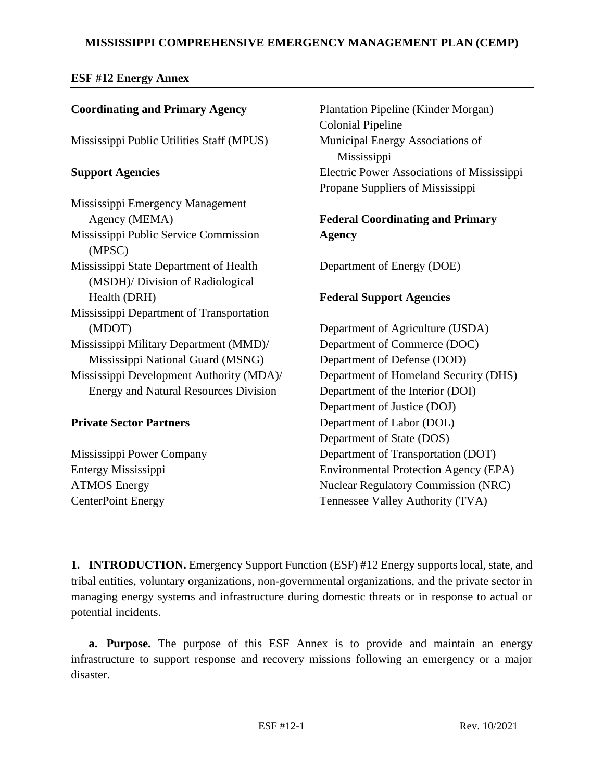# **MISSISSIPPI COMPREHENSIVE EMERGENCY MANAGEMENT PLAN (CEMP)**

## **ESF #12 Energy Annex**

| <b>Coordinating and Primary Agency</b>          | Plantation Pipeline (Kinder Morgan)             |  |
|-------------------------------------------------|-------------------------------------------------|--|
|                                                 | <b>Colonial Pipeline</b>                        |  |
| Mississippi Public Utilities Staff (MPUS)       | Municipal Energy Associations of<br>Mississippi |  |
| <b>Support Agencies</b>                         | Electric Power Associations of Mississippi      |  |
|                                                 | Propane Suppliers of Mississippi                |  |
| Mississippi Emergency Management                |                                                 |  |
| Agency (MEMA)                                   | <b>Federal Coordinating and Primary</b>         |  |
| Mississippi Public Service Commission<br>(MPSC) | <b>Agency</b>                                   |  |
| Mississippi State Department of Health          | Department of Energy (DOE)                      |  |
| (MSDH)/ Division of Radiological                |                                                 |  |
| Health (DRH)                                    | <b>Federal Support Agencies</b>                 |  |
| Mississippi Department of Transportation        |                                                 |  |
| (MDOT)                                          | Department of Agriculture (USDA)                |  |
| Mississippi Military Department (MMD)/          | Department of Commerce (DOC)                    |  |
| Mississippi National Guard (MSNG)               | Department of Defense (DOD)                     |  |
| Mississippi Development Authority (MDA)/        | Department of Homeland Security (DHS)           |  |
| <b>Energy and Natural Resources Division</b>    | Department of the Interior (DOI)                |  |
|                                                 | Department of Justice (DOJ)                     |  |
| <b>Private Sector Partners</b>                  | Department of Labor (DOL)                       |  |
|                                                 | Department of State (DOS)                       |  |
| Mississippi Power Company                       | Department of Transportation (DOT)              |  |
| Entergy Mississippi                             | <b>Environmental Protection Agency (EPA)</b>    |  |
| <b>ATMOS Energy</b>                             | <b>Nuclear Regulatory Commission (NRC)</b>      |  |
| <b>CenterPoint Energy</b>                       | Tennessee Valley Authority (TVA)                |  |

**1. INTRODUCTION.** Emergency Support Function (ESF) #12 Energy supports local, state, and tribal entities, voluntary organizations, non-governmental organizations, and the private sector in managing energy systems and infrastructure during domestic threats or in response to actual or potential incidents.

**a. Purpose.** The purpose of this ESF Annex is to provide and maintain an energy infrastructure to support response and recovery missions following an emergency or a major disaster.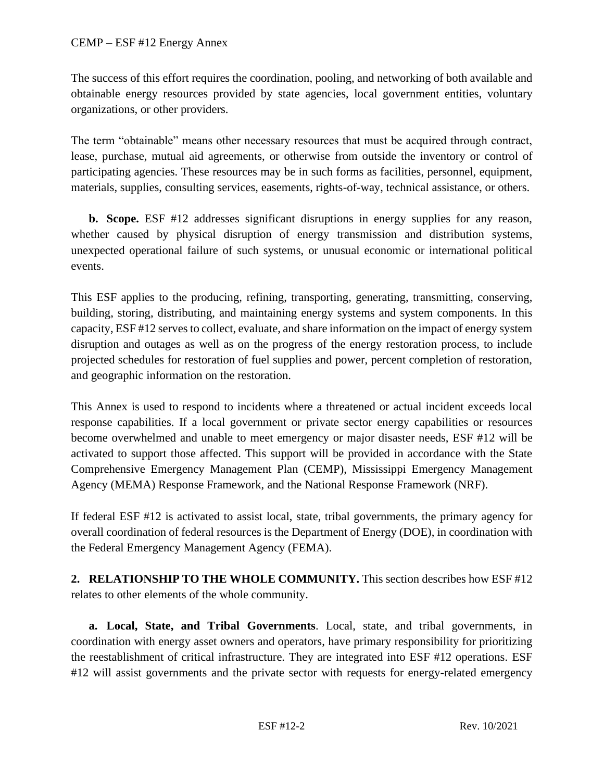#### CEMP – ESF #12 Energy Annex

The success of this effort requires the coordination, pooling, and networking of both available and obtainable energy resources provided by state agencies, local government entities, voluntary organizations, or other providers.

The term "obtainable" means other necessary resources that must be acquired through contract, lease, purchase, mutual aid agreements, or otherwise from outside the inventory or control of participating agencies. These resources may be in such forms as facilities, personnel, equipment, materials, supplies, consulting services, easements, rights-of-way, technical assistance, or others.

**b. Scope.** ESF #12 addresses significant disruptions in energy supplies for any reason, whether caused by physical disruption of energy transmission and distribution systems, unexpected operational failure of such systems, or unusual economic or international political events.

This ESF applies to the producing, refining, transporting, generating, transmitting, conserving, building, storing, distributing, and maintaining energy systems and system components. In this capacity, ESF #12 serves to collect, evaluate, and share information on the impact of energy system disruption and outages as well as on the progress of the energy restoration process, to include projected schedules for restoration of fuel supplies and power, percent completion of restoration, and geographic information on the restoration.

This Annex is used to respond to incidents where a threatened or actual incident exceeds local response capabilities. If a local government or private sector energy capabilities or resources become overwhelmed and unable to meet emergency or major disaster needs, ESF #12 will be activated to support those affected. This support will be provided in accordance with the State Comprehensive Emergency Management Plan (CEMP), Mississippi Emergency Management Agency (MEMA) Response Framework, and the National Response Framework (NRF).

If federal ESF #12 is activated to assist local, state, tribal governments, the primary agency for overall coordination of federal resources is the Department of Energy (DOE), in coordination with the Federal Emergency Management Agency (FEMA).

**2. RELATIONSHIP TO THE WHOLE COMMUNITY.** This section describes how ESF #12 relates to other elements of the whole community.

**a. Local, State, and Tribal Governments**. Local, state, and tribal governments, in coordination with energy asset owners and operators, have primary responsibility for prioritizing the reestablishment of critical infrastructure. They are integrated into ESF #12 operations. ESF #12 will assist governments and the private sector with requests for energy-related emergency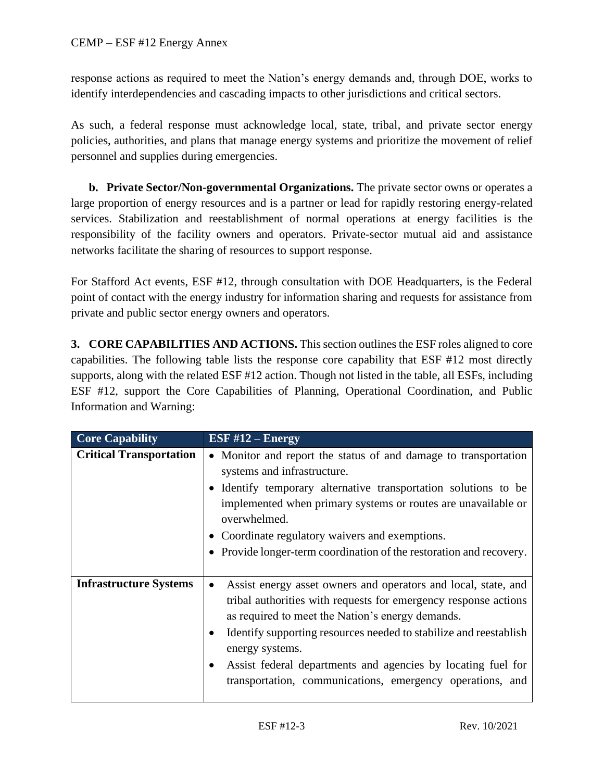response actions as required to meet the Nation's energy demands and, through DOE, works to identify interdependencies and cascading impacts to other jurisdictions and critical sectors.

As such, a federal response must acknowledge local, state, tribal, and private sector energy policies, authorities, and plans that manage energy systems and prioritize the movement of relief personnel and supplies during emergencies.

**b. Private Sector/Non-governmental Organizations.** The private sector owns or operates a large proportion of energy resources and is a partner or lead for rapidly restoring energy-related services. Stabilization and reestablishment of normal operations at energy facilities is the responsibility of the facility owners and operators. Private-sector mutual aid and assistance networks facilitate the sharing of resources to support response.

For Stafford Act events, ESF #12, through consultation with DOE Headquarters, is the Federal point of contact with the energy industry for information sharing and requests for assistance from private and public sector energy owners and operators.

**3. CORE CAPABILITIES AND ACTIONS.** This section outlines the ESF roles aligned to core capabilities. The following table lists the response core capability that ESF #12 most directly supports, along with the related ESF #12 action. Though not listed in the table, all ESFs, including ESF #12, support the Core Capabilities of Planning, Operational Coordination, and Public Information and Warning:

| <b>Core Capability</b>         | ESF $#12$ – Energy                                                                                                                                                                                                                                                                                                                                                                                                      |
|--------------------------------|-------------------------------------------------------------------------------------------------------------------------------------------------------------------------------------------------------------------------------------------------------------------------------------------------------------------------------------------------------------------------------------------------------------------------|
| <b>Critical Transportation</b> | • Monitor and report the status of and damage to transportation<br>systems and infrastructure.<br>• Identify temporary alternative transportation solutions to be<br>implemented when primary systems or routes are unavailable or<br>overwhelmed.<br>• Coordinate regulatory waivers and exemptions.<br>• Provide longer-term coordination of the restoration and recovery.                                            |
| <b>Infrastructure Systems</b>  | Assist energy asset owners and operators and local, state, and<br>$\bullet$<br>tribal authorities with requests for emergency response actions<br>as required to meet the Nation's energy demands.<br>Identify supporting resources needed to stabilize and reestablish<br>energy systems.<br>Assist federal departments and agencies by locating fuel for<br>transportation, communications, emergency operations, and |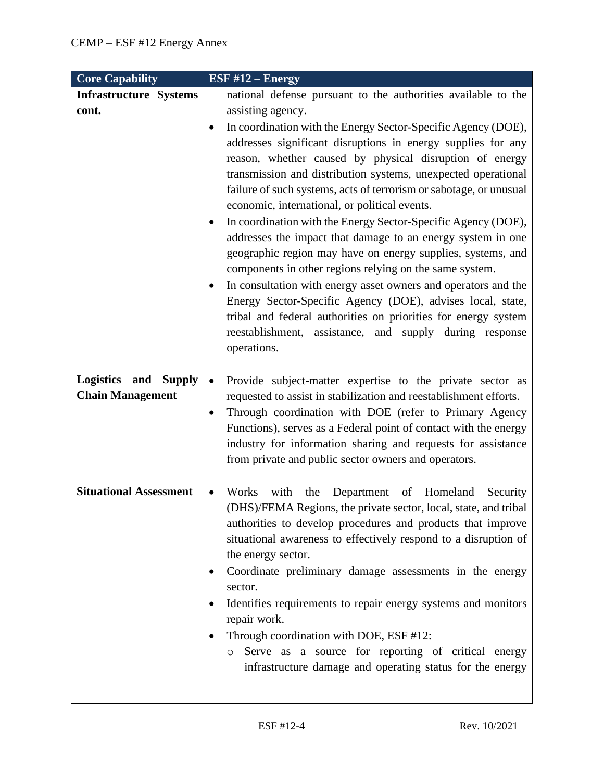| <b>Core Capability</b>                                    | ESF $#12$ – Energy                                                                                                                                                                                                                                                                                                                                                                                                                                                                                                                                                                                                                                                                                                                                                                                                                                                                                                                                                                                                                          |
|-----------------------------------------------------------|---------------------------------------------------------------------------------------------------------------------------------------------------------------------------------------------------------------------------------------------------------------------------------------------------------------------------------------------------------------------------------------------------------------------------------------------------------------------------------------------------------------------------------------------------------------------------------------------------------------------------------------------------------------------------------------------------------------------------------------------------------------------------------------------------------------------------------------------------------------------------------------------------------------------------------------------------------------------------------------------------------------------------------------------|
| <b>Infrastructure Systems</b><br>cont.                    | national defense pursuant to the authorities available to the<br>assisting agency.<br>In coordination with the Energy Sector-Specific Agency (DOE),<br>$\bullet$<br>addresses significant disruptions in energy supplies for any<br>reason, whether caused by physical disruption of energy<br>transmission and distribution systems, unexpected operational<br>failure of such systems, acts of terrorism or sabotage, or unusual<br>economic, international, or political events.<br>In coordination with the Energy Sector-Specific Agency (DOE),<br>٠<br>addresses the impact that damage to an energy system in one<br>geographic region may have on energy supplies, systems, and<br>components in other regions relying on the same system.<br>In consultation with energy asset owners and operators and the<br>$\bullet$<br>Energy Sector-Specific Agency (DOE), advises local, state,<br>tribal and federal authorities on priorities for energy system<br>reestablishment, assistance, and supply during response<br>operations. |
| Logistics and<br><b>Supply</b><br><b>Chain Management</b> | Provide subject-matter expertise to the private sector as<br>$\bullet$<br>requested to assist in stabilization and reestablishment efforts.<br>Through coordination with DOE (refer to Primary Agency<br>٠<br>Functions), serves as a Federal point of contact with the energy<br>industry for information sharing and requests for assistance<br>from private and public sector owners and operators.                                                                                                                                                                                                                                                                                                                                                                                                                                                                                                                                                                                                                                      |
| <b>Situational Assessment</b>                             | Works<br>with<br>Department<br>of Homeland<br>the<br>Security<br>$\bullet$<br>(DHS)/FEMA Regions, the private sector, local, state, and tribal<br>authorities to develop procedures and products that improve<br>situational awareness to effectively respond to a disruption of<br>the energy sector.<br>Coordinate preliminary damage assessments in the energy<br>sector.<br>Identifies requirements to repair energy systems and monitors<br>repair work.<br>Through coordination with DOE, ESF #12:<br>Serve as a source for reporting of critical energy<br>$\circ$<br>infrastructure damage and operating status for the energy                                                                                                                                                                                                                                                                                                                                                                                                      |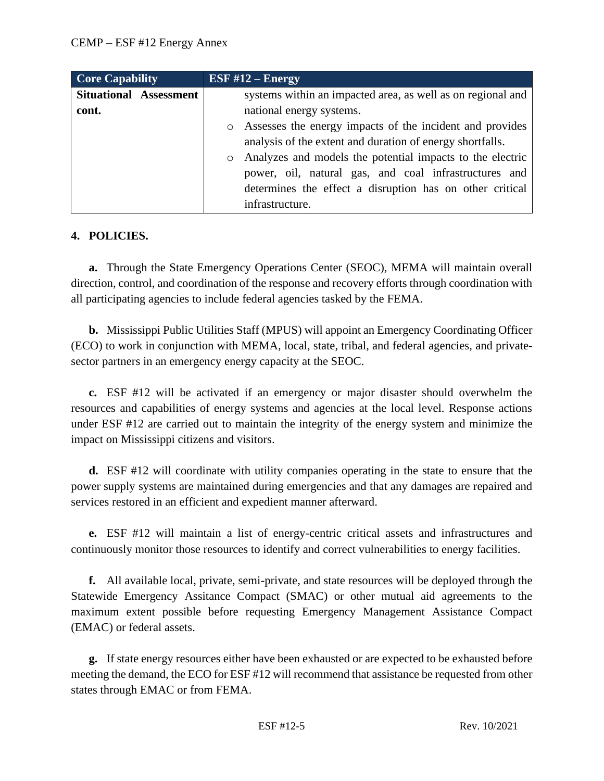| <b>Core Capability</b>        | ESF $#12$ – Energy                                          |
|-------------------------------|-------------------------------------------------------------|
| <b>Situational Assessment</b> | systems within an impacted area, as well as on regional and |
| cont.                         | national energy systems.                                    |
|                               | o Assesses the energy impacts of the incident and provides  |
|                               | analysis of the extent and duration of energy shortfalls.   |
|                               | o Analyzes and models the potential impacts to the electric |
|                               | power, oil, natural gas, and coal infrastructures and       |
|                               | determines the effect a disruption has on other critical    |
|                               | infrastructure.                                             |

### **4. POLICIES.**

**a.** Through the State Emergency Operations Center (SEOC), MEMA will maintain overall direction, control, and coordination of the response and recovery efforts through coordination with all participating agencies to include federal agencies tasked by the FEMA.

**b.** Mississippi Public Utilities Staff (MPUS) will appoint an Emergency Coordinating Officer (ECO) to work in conjunction with MEMA, local, state, tribal, and federal agencies, and privatesector partners in an emergency energy capacity at the SEOC.

**c.** ESF #12 will be activated if an emergency or major disaster should overwhelm the resources and capabilities of energy systems and agencies at the local level. Response actions under ESF #12 are carried out to maintain the integrity of the energy system and minimize the impact on Mississippi citizens and visitors.

**d.** ESF #12 will coordinate with utility companies operating in the state to ensure that the power supply systems are maintained during emergencies and that any damages are repaired and services restored in an efficient and expedient manner afterward.

**e.** ESF #12 will maintain a list of energy-centric critical assets and infrastructures and continuously monitor those resources to identify and correct vulnerabilities to energy facilities.

**f.** All available local, private, semi-private, and state resources will be deployed through the Statewide Emergency Assitance Compact (SMAC) or other mutual aid agreements to the maximum extent possible before requesting Emergency Management Assistance Compact (EMAC) or federal assets.

**g.** If state energy resources either have been exhausted or are expected to be exhausted before meeting the demand, the ECO for ESF #12 will recommend that assistance be requested from other states through EMAC or from FEMA.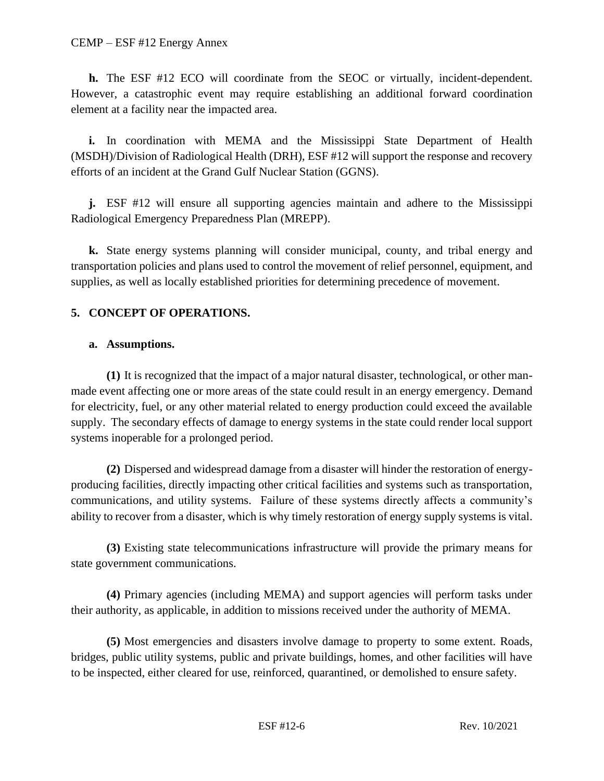**h.** The ESF #12 ECO will coordinate from the SEOC or virtually, incident-dependent. However, a catastrophic event may require establishing an additional forward coordination element at a facility near the impacted area.

**i.** In coordination with MEMA and the Mississippi State Department of Health (MSDH)/Division of Radiological Health (DRH), ESF #12 will support the response and recovery efforts of an incident at the Grand Gulf Nuclear Station (GGNS).

**j.** ESF #12 will ensure all supporting agencies maintain and adhere to the Mississippi Radiological Emergency Preparedness Plan (MREPP).

**k.** State energy systems planning will consider municipal, county, and tribal energy and transportation policies and plans used to control the movement of relief personnel, equipment, and supplies, as well as locally established priorities for determining precedence of movement.

# **5. CONCEPT OF OPERATIONS.**

### **a. Assumptions.**

**(1)** It is recognized that the impact of a major natural disaster, technological, or other manmade event affecting one or more areas of the state could result in an energy emergency. Demand for electricity, fuel, or any other material related to energy production could exceed the available supply. The secondary effects of damage to energy systems in the state could render local support systems inoperable for a prolonged period.

**(2)** Dispersed and widespread damage from a disaster will hinder the restoration of energyproducing facilities, directly impacting other critical facilities and systems such as transportation, communications, and utility systems. Failure of these systems directly affects a community's ability to recover from a disaster, which is why timely restoration of energy supply systems is vital.

**(3)** Existing state telecommunications infrastructure will provide the primary means for state government communications.

**(4)** Primary agencies (including MEMA) and support agencies will perform tasks under their authority, as applicable, in addition to missions received under the authority of MEMA.

**(5)** Most emergencies and disasters involve damage to property to some extent. Roads, bridges, public utility systems, public and private buildings, homes, and other facilities will have to be inspected, either cleared for use, reinforced, quarantined, or demolished to ensure safety.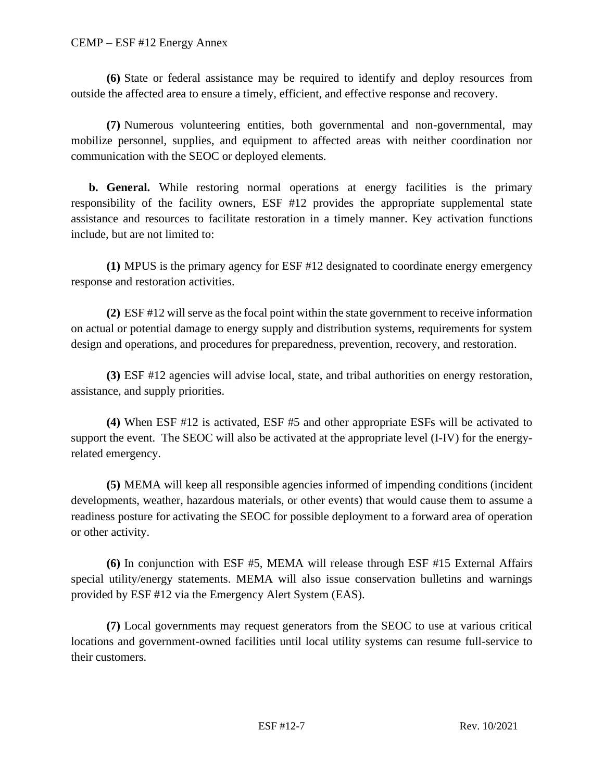#### CEMP – ESF #12 Energy Annex

**(6)** State or federal assistance may be required to identify and deploy resources from outside the affected area to ensure a timely, efficient, and effective response and recovery.

**(7)** Numerous volunteering entities, both governmental and non-governmental, may mobilize personnel, supplies, and equipment to affected areas with neither coordination nor communication with the SEOC or deployed elements.

**b. General.** While restoring normal operations at energy facilities is the primary responsibility of the facility owners, ESF #12 provides the appropriate supplemental state assistance and resources to facilitate restoration in a timely manner. Key activation functions include, but are not limited to:

**(1)** MPUS is the primary agency for ESF #12 designated to coordinate energy emergency response and restoration activities.

**(2)** ESF #12 will serve as the focal point within the state government to receive information on actual or potential damage to energy supply and distribution systems, requirements for system design and operations, and procedures for preparedness, prevention, recovery, and restoration.

**(3)** ESF #12 agencies will advise local, state, and tribal authorities on energy restoration, assistance, and supply priorities.

**(4)** When ESF #12 is activated, ESF #5 and other appropriate ESFs will be activated to support the event. The SEOC will also be activated at the appropriate level (I-IV) for the energyrelated emergency.

**(5)** MEMA will keep all responsible agencies informed of impending conditions (incident developments, weather, hazardous materials, or other events) that would cause them to assume a readiness posture for activating the SEOC for possible deployment to a forward area of operation or other activity.

**(6)** In conjunction with ESF #5, MEMA will release through ESF #15 External Affairs special utility/energy statements. MEMA will also issue conservation bulletins and warnings provided by ESF #12 via the Emergency Alert System (EAS).

**(7)** Local governments may request generators from the SEOC to use at various critical locations and government-owned facilities until local utility systems can resume full-service to their customers.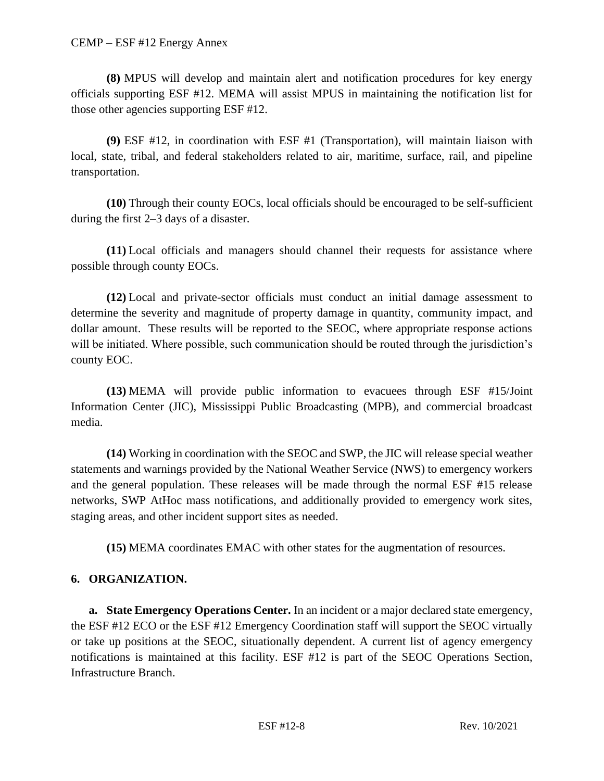**(8)** MPUS will develop and maintain alert and notification procedures for key energy officials supporting ESF #12. MEMA will assist MPUS in maintaining the notification list for those other agencies supporting ESF #12.

**(9)** ESF #12, in coordination with ESF #1 (Transportation), will maintain liaison with local, state, tribal, and federal stakeholders related to air, maritime, surface, rail, and pipeline transportation.

**(10)** Through their county EOCs, local officials should be encouraged to be self-sufficient during the first 2–3 days of a disaster.

**(11)** Local officials and managers should channel their requests for assistance where possible through county EOCs.

**(12)** Local and private-sector officials must conduct an initial damage assessment to determine the severity and magnitude of property damage in quantity, community impact, and dollar amount. These results will be reported to the SEOC, where appropriate response actions will be initiated. Where possible, such communication should be routed through the jurisdiction's county EOC.

**(13)** MEMA will provide public information to evacuees through ESF #15/Joint Information Center (JIC), Mississippi Public Broadcasting (MPB), and commercial broadcast media.

**(14)** Working in coordination with the SEOC and SWP, the JIC will release special weather statements and warnings provided by the National Weather Service (NWS) to emergency workers and the general population. These releases will be made through the normal ESF #15 release networks, SWP AtHoc mass notifications, and additionally provided to emergency work sites, staging areas, and other incident support sites as needed.

**(15)** MEMA coordinates EMAC with other states for the augmentation of resources.

# **6. ORGANIZATION.**

**a. State Emergency Operations Center.** In an incident or a major declared state emergency, the ESF #12 ECO or the ESF #12 Emergency Coordination staff will support the SEOC virtually or take up positions at the SEOC, situationally dependent. A current list of agency emergency notifications is maintained at this facility. ESF #12 is part of the SEOC Operations Section, Infrastructure Branch.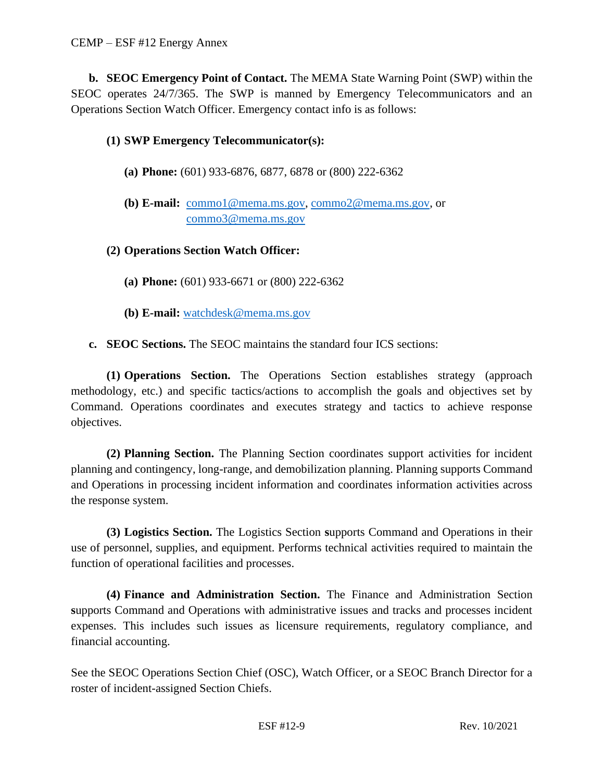**b. SEOC Emergency Point of Contact.** The MEMA State Warning Point (SWP) within the SEOC operates 24/7/365. The SWP is manned by Emergency Telecommunicators and an Operations Section Watch Officer. Emergency contact info is as follows:

# **(1) SWP Emergency Telecommunicator(s):**

- **(a) Phone:** (601) 933-6876, 6877, 6878 or (800) 222-6362
- **(b) E-mail:** [commo1@mema.ms.gov,](mailto:commo1@mema.ms.gov) [commo2@mema.ms.gov,](mailto:commo2@mema.ms.gov) or [commo3@mema.ms.gov](mailto:commo3@mema.ms.gov)

## **(2) Operations Section Watch Officer:**

- **(a) Phone:** (601) 933-6671 or (800) 222-6362
- **(b) E-mail:** [watchdesk@mema.ms.gov](mailto:watchdesk@mema.ms.gov)
- **c. SEOC Sections.** The SEOC maintains the standard four ICS sections:

**(1) Operations Section.** The Operations Section establishes strategy (approach methodology, etc.) and specific tactics/actions to accomplish the goals and objectives set by Command. Operations coordinates and executes strategy and tactics to achieve response objectives.

**(2) Planning Section.** The Planning Section coordinates support activities for incident planning and contingency, long-range, and demobilization planning. Planning supports Command and Operations in processing incident information and coordinates information activities across the response system.

**(3) Logistics Section.** The Logistics Section **s**upports Command and Operations in their use of personnel, supplies, and equipment. Performs technical activities required to maintain the function of operational facilities and processes.

**(4) Finance and Administration Section.** The Finance and Administration Section **s**upports Command and Operations with administrative issues and tracks and processes incident expenses. This includes such issues as licensure requirements, regulatory compliance, and financial accounting.

See the SEOC Operations Section Chief (OSC), Watch Officer, or a SEOC Branch Director for a roster of incident-assigned Section Chiefs.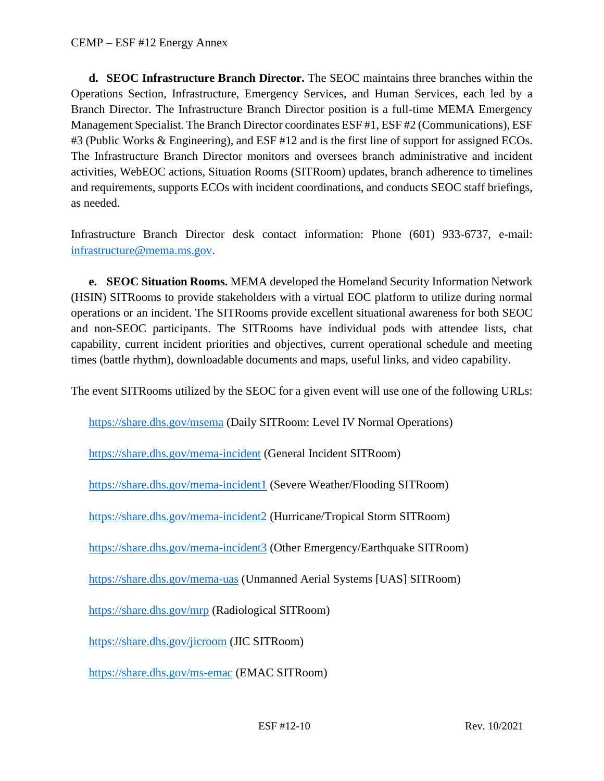**d. SEOC Infrastructure Branch Director.** The SEOC maintains three branches within the Operations Section, Infrastructure, Emergency Services, and Human Services, each led by a Branch Director. The Infrastructure Branch Director position is a full-time MEMA Emergency Management Specialist. The Branch Director coordinates ESF #1, ESF #2 (Communications), ESF #3 (Public Works & Engineering), and ESF #12 and is the first line of support for assigned ECOs. The Infrastructure Branch Director monitors and oversees branch administrative and incident activities, WebEOC actions, Situation Rooms (SITRoom) updates, branch adherence to timelines and requirements, supports ECOs with incident coordinations, and conducts SEOC staff briefings, as needed.

Infrastructure Branch Director desk contact information: Phone (601) 933-6737, e-mail: [infrastructure@mema.ms.gov.](mailto:infrastructure@mema.ms.gov)

**e. SEOC Situation Rooms.** MEMA developed the Homeland Security Information Network (HSIN) SITRooms to provide stakeholders with a virtual EOC platform to utilize during normal operations or an incident. The SITRooms provide excellent situational awareness for both SEOC and non-SEOC participants. The SITRooms have individual pods with attendee lists, chat capability, current incident priorities and objectives, current operational schedule and meeting times (battle rhythm), downloadable documents and maps, useful links, and video capability.

The event SITRooms utilized by the SEOC for a given event will use one of the following URLs:

<https://share.dhs.gov/msema> (Daily SITRoom: Level IV Normal Operations)

<https://share.dhs.gov/mema-incident> (General Incident SITRoom)

<https://share.dhs.gov/mema-incident1> (Severe Weather/Flooding SITRoom)

<https://share.dhs.gov/mema-incident2> (Hurricane/Tropical Storm SITRoom)

<https://share.dhs.gov/mema-incident3> (Other Emergency/Earthquake SITRoom)

<https://share.dhs.gov/mema-uas> (Unmanned Aerial Systems [UAS] SITRoom)

<https://share.dhs.gov/mrp> (Radiological SITRoom)

<https://share.dhs.gov/jicroom> (JIC SITRoom)

<https://share.dhs.gov/ms-emac> (EMAC SITRoom)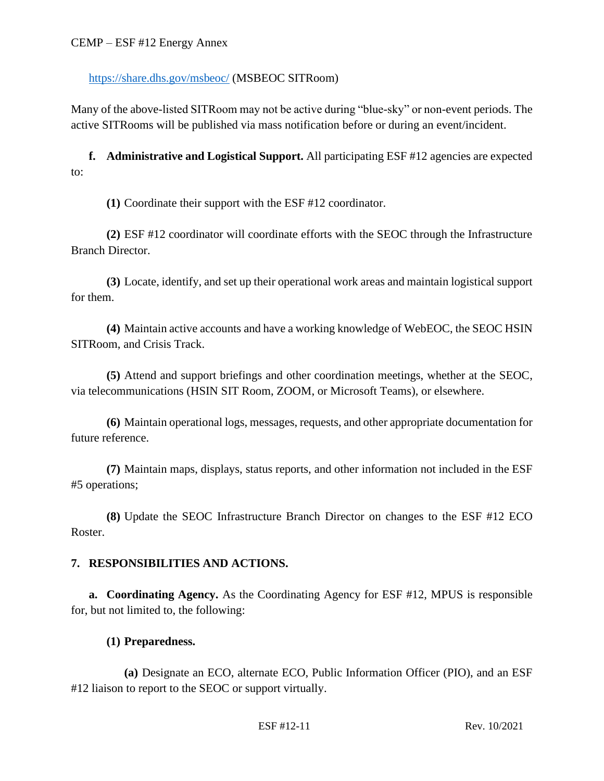## <https://share.dhs.gov/msbeoc/> (MSBEOC SITRoom)

Many of the above-listed SITRoom may not be active during "blue-sky" or non-event periods. The active SITRooms will be published via mass notification before or during an event/incident.

**f. Administrative and Logistical Support.** All participating ESF #12 agencies are expected to:

**(1)** Coordinate their support with the ESF #12 coordinator.

**(2)** ESF #12 coordinator will coordinate efforts with the SEOC through the Infrastructure Branch Director.

**(3)** Locate, identify, and set up their operational work areas and maintain logistical support for them.

**(4)** Maintain active accounts and have a working knowledge of WebEOC, the SEOC HSIN SITRoom, and Crisis Track.

**(5)** Attend and support briefings and other coordination meetings, whether at the SEOC, via telecommunications (HSIN SIT Room, ZOOM, or Microsoft Teams), or elsewhere.

**(6)** Maintain operational logs, messages, requests, and other appropriate documentation for future reference.

**(7)** Maintain maps, displays, status reports, and other information not included in the ESF #5 operations;

**(8)** Update the SEOC Infrastructure Branch Director on changes to the ESF #12 ECO Roster.

## **7. RESPONSIBILITIES AND ACTIONS.**

**a. Coordinating Agency.** As the Coordinating Agency for ESF #12, MPUS is responsible for, but not limited to, the following:

## **(1) Preparedness.**

**(a)** Designate an ECO, alternate ECO, Public Information Officer (PIO), and an ESF #12 liaison to report to the SEOC or support virtually.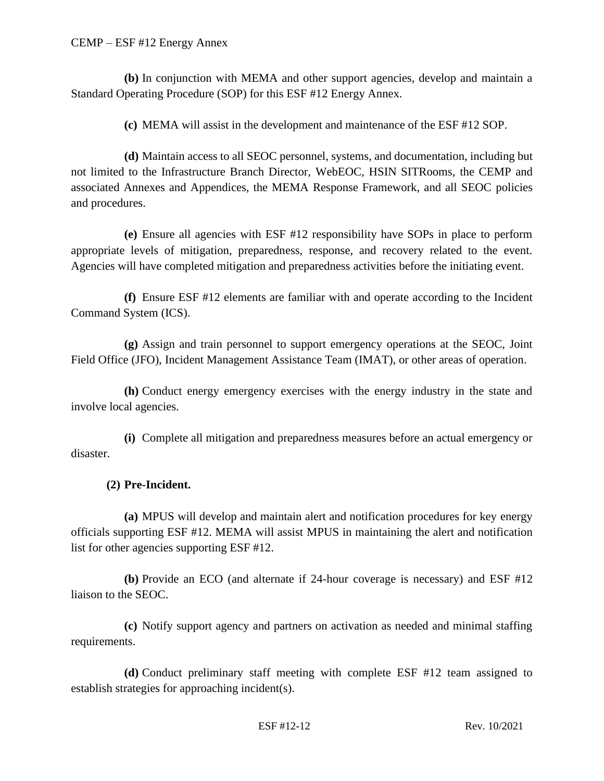**(b)** In conjunction with MEMA and other support agencies, develop and maintain a Standard Operating Procedure (SOP) for this ESF #12 Energy Annex.

**(c)** MEMA will assist in the development and maintenance of the ESF #12 SOP.

**(d)** Maintain access to all SEOC personnel, systems, and documentation, including but not limited to the Infrastructure Branch Director, WebEOC, HSIN SITRooms, the CEMP and associated Annexes and Appendices, the MEMA Response Framework, and all SEOC policies and procedures.

**(e)** Ensure all agencies with ESF #12 responsibility have SOPs in place to perform appropriate levels of mitigation, preparedness, response, and recovery related to the event. Agencies will have completed mitigation and preparedness activities before the initiating event.

**(f)** Ensure ESF #12 elements are familiar with and operate according to the Incident Command System (ICS).

**(g)** Assign and train personnel to support emergency operations at the SEOC, Joint Field Office (JFO), Incident Management Assistance Team (IMAT), or other areas of operation.

**(h)** Conduct energy emergency exercises with the energy industry in the state and involve local agencies.

**(i)** Complete all mitigation and preparedness measures before an actual emergency or disaster.

## **(2) Pre-Incident.**

**(a)** MPUS will develop and maintain alert and notification procedures for key energy officials supporting ESF #12. MEMA will assist MPUS in maintaining the alert and notification list for other agencies supporting ESF #12.

**(b)** Provide an ECO (and alternate if 24-hour coverage is necessary) and ESF #12 liaison to the SEOC.

**(c)** Notify support agency and partners on activation as needed and minimal staffing requirements.

**(d)** Conduct preliminary staff meeting with complete ESF #12 team assigned to establish strategies for approaching incident(s).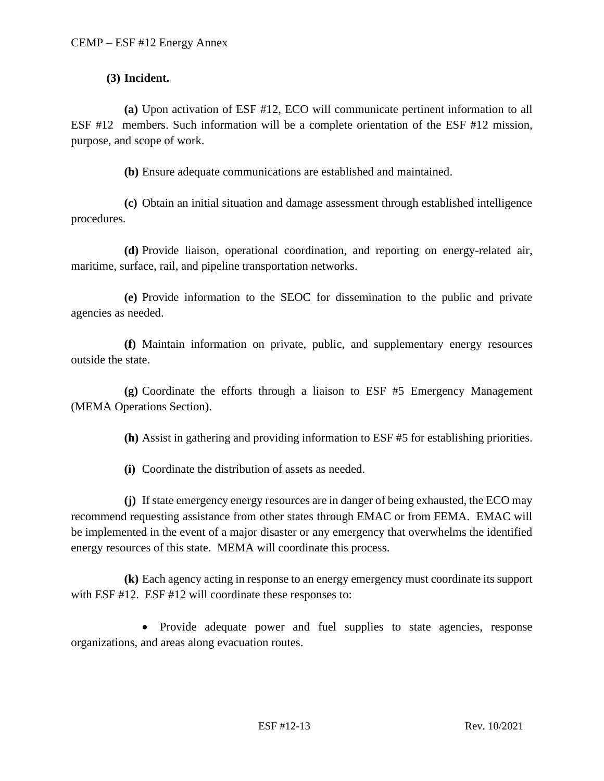### **(3) Incident.**

**(a)** Upon activation of ESF #12, ECO will communicate pertinent information to all ESF #12 members. Such information will be a complete orientation of the ESF #12 mission, purpose, and scope of work.

**(b)** Ensure adequate communications are established and maintained.

**(c)** Obtain an initial situation and damage assessment through established intelligence procedures.

**(d)** Provide liaison, operational coordination, and reporting on energy-related air, maritime, surface, rail, and pipeline transportation networks.

**(e)** Provide information to the SEOC for dissemination to the public and private agencies as needed.

**(f)** Maintain information on private, public, and supplementary energy resources outside the state.

**(g)** Coordinate the efforts through a liaison to ESF #5 Emergency Management (MEMA Operations Section).

**(h)** Assist in gathering and providing information to ESF #5 for establishing priorities.

**(i)** Coordinate the distribution of assets as needed.

**(j)** If state emergency energy resources are in danger of being exhausted, the ECO may recommend requesting assistance from other states through EMAC or from FEMA. EMAC will be implemented in the event of a major disaster or any emergency that overwhelms the identified energy resources of this state. MEMA will coordinate this process.

**(k)** Each agency acting in response to an energy emergency must coordinate its support with ESF #12. ESF #12 will coordinate these responses to:

• Provide adequate power and fuel supplies to state agencies, response organizations, and areas along evacuation routes.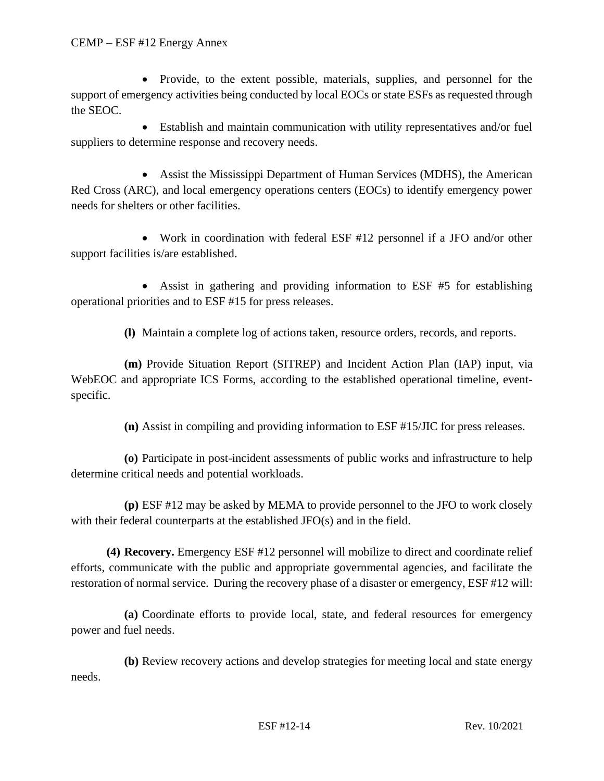• Provide, to the extent possible, materials, supplies, and personnel for the support of emergency activities being conducted by local EOCs or state ESFs as requested through the SEOC.

• Establish and maintain communication with utility representatives and/or fuel suppliers to determine response and recovery needs.

• Assist the Mississippi Department of Human Services (MDHS), the American Red Cross (ARC), and local emergency operations centers (EOCs) to identify emergency power needs for shelters or other facilities.

• Work in coordination with federal ESF #12 personnel if a JFO and/or other support facilities is/are established.

• Assist in gathering and providing information to ESF #5 for establishing operational priorities and to ESF #15 for press releases.

**(l)** Maintain a complete log of actions taken, resource orders, records, and reports.

**(m)** Provide Situation Report (SITREP) and Incident Action Plan (IAP) input, via WebEOC and appropriate ICS Forms, according to the established operational timeline, eventspecific.

**(n)** Assist in compiling and providing information to ESF #15/JIC for press releases.

**(o)** Participate in post-incident assessments of public works and infrastructure to help determine critical needs and potential workloads.

**(p)** ESF #12 may be asked by MEMA to provide personnel to the JFO to work closely with their federal counterparts at the established JFO(s) and in the field.

**(4) Recovery.** Emergency ESF #12 personnel will mobilize to direct and coordinate relief efforts, communicate with the public and appropriate governmental agencies, and facilitate the restoration of normal service. During the recovery phase of a disaster or emergency, ESF #12 will:

**(a)** Coordinate efforts to provide local, state, and federal resources for emergency power and fuel needs.

**(b)** Review recovery actions and develop strategies for meeting local and state energy needs.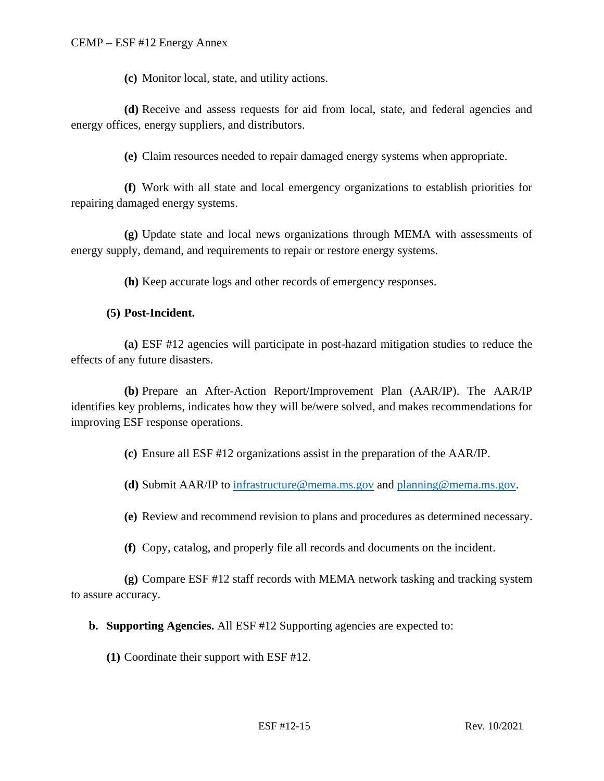**(c)** Monitor local, state, and utility actions.

**(d)** Receive and assess requests for aid from local, state, and federal agencies and energy offices, energy suppliers, and distributors.

**(e)** Claim resources needed to repair damaged energy systems when appropriate.

**(f)** Work with all state and local emergency organizations to establish priorities for repairing damaged energy systems.

**(g)** Update state and local news organizations through MEMA with assessments of energy supply, demand, and requirements to repair or restore energy systems.

**(h)** Keep accurate logs and other records of emergency responses.

#### **(5) Post-Incident.**

**(a)** ESF #12 agencies will participate in post-hazard mitigation studies to reduce the effects of any future disasters.

**(b)** Prepare an After-Action Report/Improvement Plan (AAR/IP). The AAR/IP identifies key problems, indicates how they will be/were solved, and makes recommendations for improving ESF response operations.

**(c)** Ensure all ESF #12 organizations assist in the preparation of the AAR/IP.

**(d)** Submit AAR/IP to [infrastructure@mema.ms.gov](mailto:infrastructure@mema.ms.gov) and [planning@mema.ms.gov.](mailto:planning@mema.ms.gov)

**(e)** Review and recommend revision to plans and procedures as determined necessary.

**(f)** Copy, catalog, and properly file all records and documents on the incident.

**(g)** Compare ESF #12 staff records with MEMA network tasking and tracking system to assure accuracy.

**b. Supporting Agencies.** All ESF #12 Supporting agencies are expected to:

**(1)** Coordinate their support with ESF #12.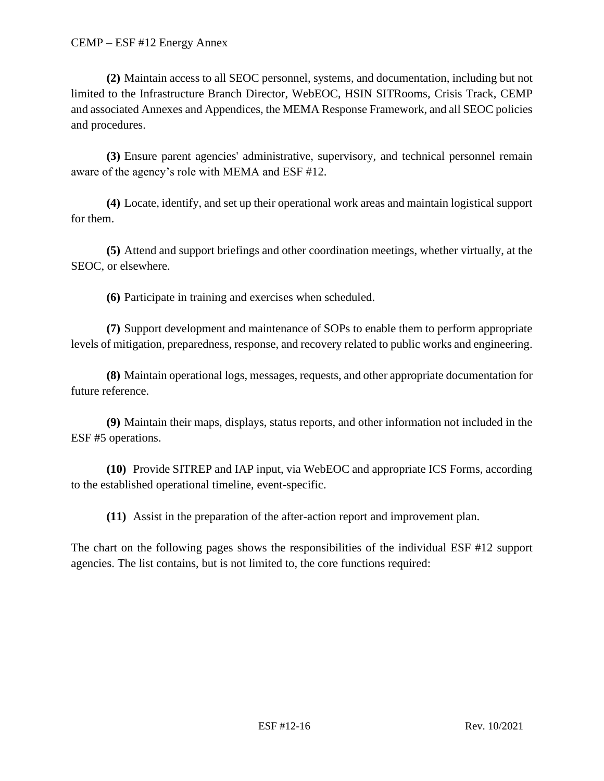**(2)** Maintain access to all SEOC personnel, systems, and documentation, including but not limited to the Infrastructure Branch Director, WebEOC, HSIN SITRooms, Crisis Track, CEMP and associated Annexes and Appendices, the MEMA Response Framework, and all SEOC policies and procedures.

**(3)** Ensure parent agencies' administrative, supervisory, and technical personnel remain aware of the agency's role with MEMA and ESF #12.

**(4)** Locate, identify, and set up their operational work areas and maintain logistical support for them.

**(5)** Attend and support briefings and other coordination meetings, whether virtually, at the SEOC, or elsewhere.

**(6)** Participate in training and exercises when scheduled.

**(7)** Support development and maintenance of SOPs to enable them to perform appropriate levels of mitigation, preparedness, response, and recovery related to public works and engineering.

**(8)** Maintain operational logs, messages, requests, and other appropriate documentation for future reference.

**(9)** Maintain their maps, displays, status reports, and other information not included in the ESF #5 operations.

**(10)** Provide SITREP and IAP input, via WebEOC and appropriate ICS Forms, according to the established operational timeline, event-specific.

**(11)** Assist in the preparation of the after-action report and improvement plan.

The chart on the following pages shows the responsibilities of the individual ESF #12 support agencies. The list contains, but is not limited to, the core functions required: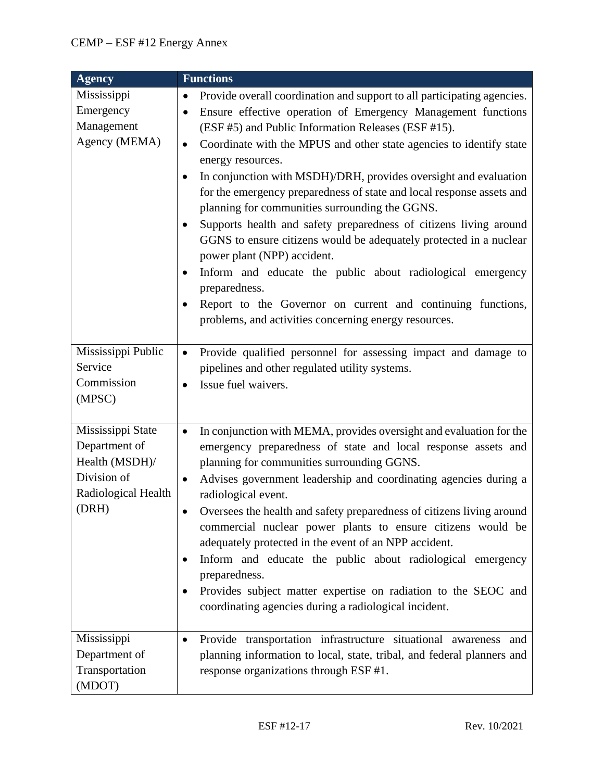| Agency                                                                                              | <b>Functions</b>                                                                                                                                                                                                                                                                                                                                                                                                                                                                                                                                                                                                                                                                                                                                                                                                                                                                                                                         |
|-----------------------------------------------------------------------------------------------------|------------------------------------------------------------------------------------------------------------------------------------------------------------------------------------------------------------------------------------------------------------------------------------------------------------------------------------------------------------------------------------------------------------------------------------------------------------------------------------------------------------------------------------------------------------------------------------------------------------------------------------------------------------------------------------------------------------------------------------------------------------------------------------------------------------------------------------------------------------------------------------------------------------------------------------------|
| Mississippi<br>Emergency<br>Management<br>Agency (MEMA)                                             | Provide overall coordination and support to all participating agencies.<br>$\bullet$<br>Ensure effective operation of Emergency Management functions<br>$\bullet$<br>(ESF #5) and Public Information Releases (ESF #15).<br>Coordinate with the MPUS and other state agencies to identify state<br>$\bullet$<br>energy resources.<br>In conjunction with MSDH)/DRH, provides oversight and evaluation<br>for the emergency preparedness of state and local response assets and<br>planning for communities surrounding the GGNS.<br>Supports health and safety preparedness of citizens living around<br>٠<br>GGNS to ensure citizens would be adequately protected in a nuclear<br>power plant (NPP) accident.<br>Inform and educate the public about radiological emergency<br>٠<br>preparedness.<br>Report to the Governor on current and continuing functions,<br>$\bullet$<br>problems, and activities concerning energy resources. |
| Mississippi Public<br>Service<br>Commission<br>(MPSC)                                               | Provide qualified personnel for assessing impact and damage to<br>$\bullet$<br>pipelines and other regulated utility systems.<br>Issue fuel waivers.<br>$\bullet$                                                                                                                                                                                                                                                                                                                                                                                                                                                                                                                                                                                                                                                                                                                                                                        |
| Mississippi State<br>Department of<br>Health (MSDH)/<br>Division of<br>Radiological Health<br>(DRH) | In conjunction with MEMA, provides oversight and evaluation for the<br>$\bullet$<br>emergency preparedness of state and local response assets and<br>planning for communities surrounding GGNS.<br>Advises government leadership and coordinating agencies during a<br>$\bullet$<br>radiological event.<br>Oversees the health and safety preparedness of citizens living around<br>commercial nuclear power plants to ensure citizens would be<br>adequately protected in the event of an NPP accident.<br>Inform and educate the public about radiological emergency<br>$\bullet$<br>preparedness.<br>Provides subject matter expertise on radiation to the SEOC and<br>٠<br>coordinating agencies during a radiological incident.                                                                                                                                                                                                     |
| Mississippi<br>Department of<br>Transportation<br>(MDOT)                                            | Provide transportation infrastructure situational awareness and<br>$\bullet$<br>planning information to local, state, tribal, and federal planners and<br>response organizations through ESF #1.                                                                                                                                                                                                                                                                                                                                                                                                                                                                                                                                                                                                                                                                                                                                         |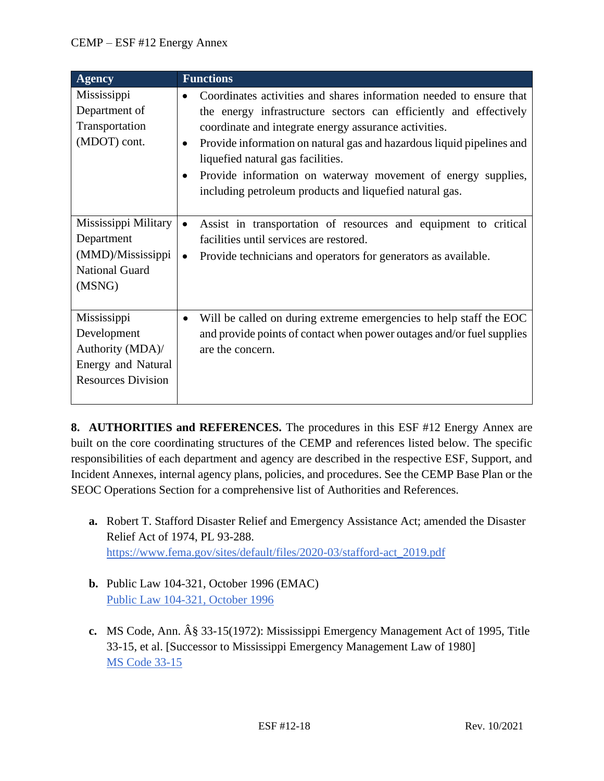| <b>Agency</b>                                                                                     | <b>Functions</b>                                                                                                                                                                                                                                                                                                                                                                                                                                                                  |
|---------------------------------------------------------------------------------------------------|-----------------------------------------------------------------------------------------------------------------------------------------------------------------------------------------------------------------------------------------------------------------------------------------------------------------------------------------------------------------------------------------------------------------------------------------------------------------------------------|
| Mississippi<br>Department of<br>Transportation<br>(MDOT) cont.                                    | Coordinates activities and shares information needed to ensure that<br>$\bullet$<br>the energy infrastructure sectors can efficiently and effectively<br>coordinate and integrate energy assurance activities.<br>Provide information on natural gas and hazardous liquid pipelines and<br>$\bullet$<br>liquefied natural gas facilities.<br>Provide information on waterway movement of energy supplies,<br>$\bullet$<br>including petroleum products and liquefied natural gas. |
| Mississippi Military<br>Department<br>(MMD)/Mississippi<br><b>National Guard</b><br>(MSNG)        | Assist in transportation of resources and equipment to critical<br>$\bullet$<br>facilities until services are restored.<br>Provide technicians and operators for generators as available.<br>$\bullet$                                                                                                                                                                                                                                                                            |
| Mississippi<br>Development<br>Authority (MDA)/<br>Energy and Natural<br><b>Resources Division</b> | Will be called on during extreme emergencies to help staff the EOC<br>$\bullet$<br>and provide points of contact when power outages and/or fuel supplies<br>are the concern.                                                                                                                                                                                                                                                                                                      |

**8. AUTHORITIES and REFERENCES.** The procedures in this ESF #12 Energy Annex are built on the core coordinating structures of the CEMP and references listed below. The specific responsibilities of each department and agency are described in the respective ESF, Support, and Incident Annexes, internal agency plans, policies, and procedures. See the CEMP Base Plan or the SEOC Operations Section for a comprehensive list of Authorities and References.

- **a.** Robert T. Stafford Disaster Relief and Emergency Assistance Act; amended the Disaster Relief Act of 1974, PL 93-288. [https://www.fema.gov/sites/default/files/2020-03/stafford-act\\_2019.pdf](https://www.fema.gov/sites/default/files/2020-03/stafford-act_2019.pdf)
- **b.** Public Law 104-321, October 1996 (EMAC) [Public Law 104-321, October 1996](https://www.congress.gov/104/plaws/publ321/PLAW-104publ321.pdf)
- **c.** MS Code, Ann.  $\hat{A}\$  33-15(1972): Mississippi Emergency Management Act of 1995, Title 33-15, et al. [Successor to Mississippi Emergency Management Law of 1980] [MS Code 33-15](https://law.justia.com/codes/mississippi/2010/title-33/15/)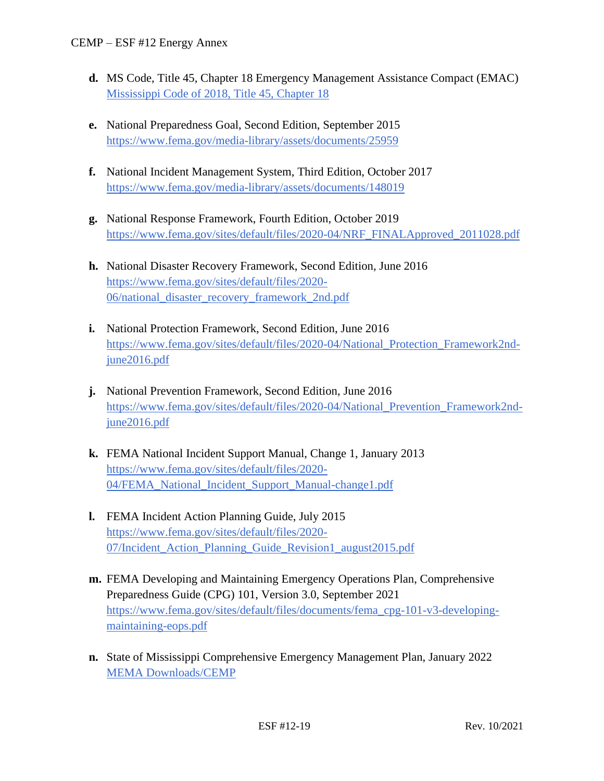- **d.** MS Code, Title 45, Chapter 18 Emergency Management Assistance Compact (EMAC) [Mississippi Code of 2018, Title 45, Chapter 18](https://law.justia.com/codes/mississippi/2018/title-45/chapter-18/)
- **e.** National Preparedness Goal, Second Edition, September 2015 <https://www.fema.gov/media-library/assets/documents/25959>
- **f.** National Incident Management System, Third Edition, October 2017 <https://www.fema.gov/media-library/assets/documents/148019>
- **g.** National Response Framework, Fourth Edition, October 2019 [https://www.fema.gov/sites/default/files/2020-04/NRF\\_FINALApproved\\_2011028.pdf](https://www.fema.gov/sites/default/files/2020-04/NRF_FINALApproved_2011028.pdf)
- **h.** National Disaster Recovery Framework, Second Edition, June 2016 [https://www.fema.gov/sites/default/files/2020-](https://www.fema.gov/sites/default/files/2020-06/national_disaster_recovery_framework_2nd.pdf) [06/national\\_disaster\\_recovery\\_framework\\_2nd.pdf](https://www.fema.gov/sites/default/files/2020-06/national_disaster_recovery_framework_2nd.pdf)
- **i.** National Protection Framework, Second Edition, June 2016 [https://www.fema.gov/sites/default/files/2020-04/National\\_Protection\\_Framework2nd](https://www.fema.gov/sites/default/files/2020-04/National_Protection_Framework2nd-june2016.pdf)[june2016.pdf](https://www.fema.gov/sites/default/files/2020-04/National_Protection_Framework2nd-june2016.pdf)
- **j.** National Prevention Framework, Second Edition, June 2016 [https://www.fema.gov/sites/default/files/2020-04/National\\_Prevention\\_Framework2nd](https://www.fema.gov/sites/default/files/2020-04/National_Prevention_Framework2nd-june2016.pdf)[june2016.pdf](https://www.fema.gov/sites/default/files/2020-04/National_Prevention_Framework2nd-june2016.pdf)
- **k.** FEMA National Incident Support Manual, Change 1, January 2013 [https://www.fema.gov/sites/default/files/2020-](https://www.fema.gov/sites/default/files/2020-04/FEMA_National_Incident_Support_Manual-change1.pdf) [04/FEMA\\_National\\_Incident\\_Support\\_Manual-change1.pdf](https://www.fema.gov/sites/default/files/2020-04/FEMA_National_Incident_Support_Manual-change1.pdf)
- **l.** FEMA Incident Action Planning Guide, July 2015 [https://www.fema.gov/sites/default/files/2020-](https://www.fema.gov/sites/default/files/2020-07/Incident_Action_Planning_Guide_Revision1_august2015.pdf) [07/Incident\\_Action\\_Planning\\_Guide\\_Revision1\\_august2015.pdf](https://www.fema.gov/sites/default/files/2020-07/Incident_Action_Planning_Guide_Revision1_august2015.pdf)
- **m.** FEMA Developing and Maintaining Emergency Operations Plan, Comprehensive Preparedness Guide (CPG) 101, Version 3.0, September 2021 [https://www.fema.gov/sites/default/files/documents/fema\\_cpg-101-v3-developing](https://www.fema.gov/sites/default/files/documents/fema_cpg-101-v3-developing-maintaining-eops.pdf)[maintaining-eops.pdf](https://www.fema.gov/sites/default/files/documents/fema_cpg-101-v3-developing-maintaining-eops.pdf)
- **n.** State of Mississippi Comprehensive Emergency Management Plan, January 2022 [MEMA Downloads/CEMP](https://msmema.sharepoint.com/Shared%20Documents/Forms/AllItems.aspx?id=%2FShared%20Documents%2FMEMA%20Downloads%2FComprehensive%20Emergency%20Management%20Plan%20%2D%202022&viewid=8f98db8b%2D85b5%2D471a%2Db3cc%2D6cc4ee9e7407)